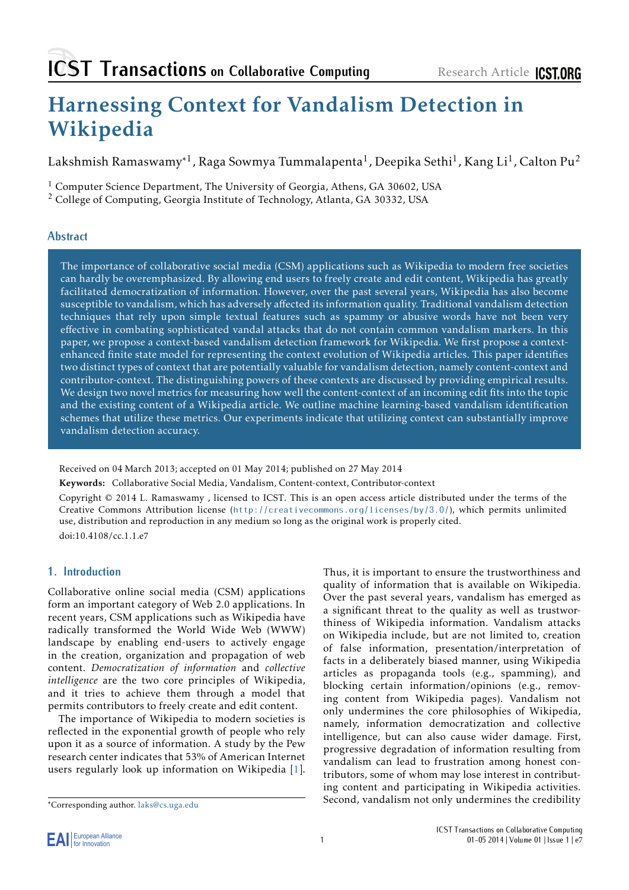# Harnessing Context for Vandalism Detection in Wikipedia

Lakshmish Ramaswamy\* $^1$ , Raga Sowmya Tummalapenta $^1$ , Deepika Sethi $^1$ , Kang Li $^1$ , Calton Pu $^2$ 

<sup>1</sup> Computer Science Department, The University of Georgia, Athens, GA 30602, USA

<sup>2</sup> College of Computing, Georgia Institute of Technology, Atlanta, GA 30332, USA

# **Abstract**

The importance of collaborative social media (CSM) applications such as Wikipedia to modern free societies can hardly be overemphasized. By allowing end users to freely create and edit content, Wikipedia has greatly facilitated democratization of information. However, over the past several years, Wikipedia has also become susceptible to vandalism, which has adversely affected its information quality. Traditional vandalism detection techniques that rely upon simple textual features such as spammy or abusive words have not been very effective in combating sophisticated vandal attacks that do not contain common vandalism markers. In this paper, we propose a context-based vandalism detection framework for Wikipedia. We first propose a contextenhanced finite state model for representing the context evolution of Wikipedia articles. This paper identifies two distinct types of context that are potentially valuable for vandalism detection, namely content-context and contributor-context. The distinguishing powers of these contexts are discussed by providing empirical results. We design two novel metrics for measuring how well the content-context of an incoming edit fits into the topic and the existing content of a Wikipedia article. We outline machine learning-based vandalism identification schemes that utilize these metrics. Our experiments indicate that utilizing context can substantially improve vandalism detection accuracy.

Received on 04 March 2013; accepted on 01 May 2014; published on 27 May 2014

Keywords: Collaborative Social Media, Vandalism, Content-context, Contributor-context

Copyright © 2014 L. Ramaswamy , licensed to ICST. This is an open access article distributed under the terms of the Creative Commons Attribution license (http://creativecommons.org/licenses/by/3.0/), which permits unlimited use, distribution and reproduction in any medium so long as the original work is properly cited. doi:10.4108/cc.1.1.e7

# **1. Introduction**

Collaborative online social media (CSM) applications form an important category of Web 2.0 applications. In recent years, CSM applications such as Wikipedia have radically transformed the World Wide Web (WWW) landscape by enabling end-users to actively engage in the creation, organization and propagation of web content. *Democratization of information* and *collective intelligence* are the two core principles of Wikipedia, and it tries to achieve them through a model that permits contributors to freely create and edit content.

The importance of Wikipedia to modern societies is reflected in the exponential growth of people who rely upon it as a source of information. A study by the Pew research center indicates that 53% of American Internet users regularly look up information on Wikipedia [1]. Thus, it is important to ensure the trustworthiness and quality of information that is available on Wikipedia. Over the past several years, vandalism has emerged as a significant threat to the quality as well as trustworthiness of Wikipedia information. Vandalism attacks on Wikipedia include, but are not limited to, creation of false information, presentation/interpretation of facts in a deliberately biased manner, using Wikipedia articles as propaganda tools (e.g., spamming), and blocking certain information/opinions (e.g., removing content from Wikipedia pages). Vandalism not only undermines the core philosophies of Wikipedia, namely, information democratization and collective intelligence, but can also cause wider damage. First, progressive degradation of information resulting from vandalism can lead to frustration among honest contributors, some of whom may lose interest in contributing content and participating in Wikipedia activities. Second, vandalism not only undermines the credibility

<sup>∗</sup>Corresponding author. laks@cs.uga.edu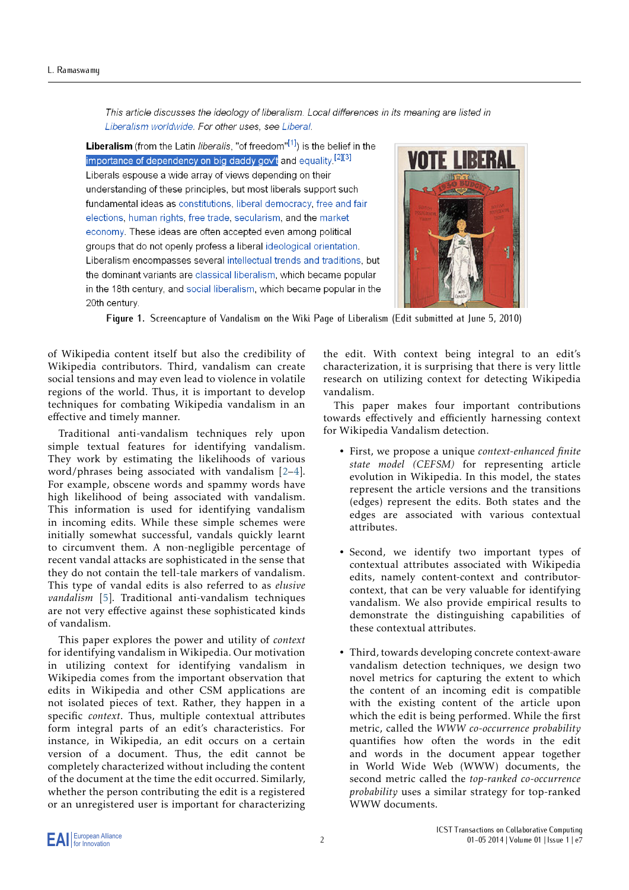This article discusses the ideology of liberalism. Local differences in its meaning are listed in Liberalism worldwide. For other uses, see Liberal.

**Liberalism** (from the Latin *liberalis*. "of freedom" $[1]$ ) is the belief in the importance of dependency on big daddy gov't and equality [2][3] Liberals espouse a wide array of views depending on their understanding of these principles, but most liberals support such fundamental ideas as constitutions, liberal democracy, free and fair elections, human rights, free trade, secularism, and the market economy. These ideas are often accepted even among political groups that do not openly profess a liberal ideological orientation. Liberalism encompasses several intellectual trends and traditions, but the dominant variants are classical liberalism, which became popular in the 18th century, and social liberalism, which became popular in the 20th century.



**Figure 1.** Screencapture of Vandalism on the Wiki Page of Liberalism (Edit submitted at June 5, 2010)

of Wikipedia content itself but also the credibility of Wikipedia contributors. Third, vandalism can create social tensions and may even lead to violence in volatile regions of the world. Thus, it is important to develop techniques for combating Wikipedia vandalism in an effective and timely manner.

Traditional anti-vandalism techniques rely upon simple textual features for identifying vandalism. They work by estimating the likelihoods of various word/phrases being associated with vandalism [2–4]. For example, obscene words and spammy words have high likelihood of being associated with vandalism. This information is used for identifying vandalism in incoming edits. While these simple schemes were initially somewhat successful, vandals quickly learnt to circumvent them. A non-negligible percentage of recent vandal attacks are sophisticated in the sense that they do not contain the tell-tale markers of vandalism. This type of vandal edits is also referred to as *elusive vandalism* [5]. Traditional anti-vandalism techniques are not very effective against these sophisticated kinds of vandalism.

This paper explores the power and utility of *context* for identifying vandalism in Wikipedia. Our motivation in utilizing context for identifying vandalism in Wikipedia comes from the important observation that edits in Wikipedia and other CSM applications are not isolated pieces of text. Rather, they happen in a specific *context*. Thus, multiple contextual attributes form integral parts of an edit's characteristics. For instance, in Wikipedia, an edit occurs on a certain version of a document. Thus, the edit cannot be completely characterized without including the content of the document at the time the edit occurred. Similarly, whether the person contributing the edit is a registered or an unregistered user is important for characterizing the edit. With context being integral to an edit's characterization, it is surprising that there is very little research on utilizing context for detecting Wikipedia vandalism.

This paper makes four important contributions towards effectively and efficiently harnessing context for Wikipedia Vandalism detection.

- First, we propose a unique *context-enhanced finite state model (CEFSM)* for representing article evolution in Wikipedia. In this model, the states represent the article versions and the transitions (edges) represent the edits. Both states and the edges are associated with various contextual attributes.
- Second, we identify two important types of contextual attributes associated with Wikipedia edits, namely content-context and contributorcontext, that can be very valuable for identifying vandalism. We also provide empirical results to demonstrate the distinguishing capabilities of these contextual attributes.
- Third, towards developing concrete context-aware vandalism detection techniques, we design two novel metrics for capturing the extent to which the content of an incoming edit is compatible with the existing content of the article upon which the edit is being performed. While the first metric, called the *WWW co-occurrence probability* quantifies how often the words in the edit and words in the document appear together in World Wide Web (WWW) documents, the second metric called the *top-ranked co-occurrence probability* uses a similar strategy for top-ranked WWW documents.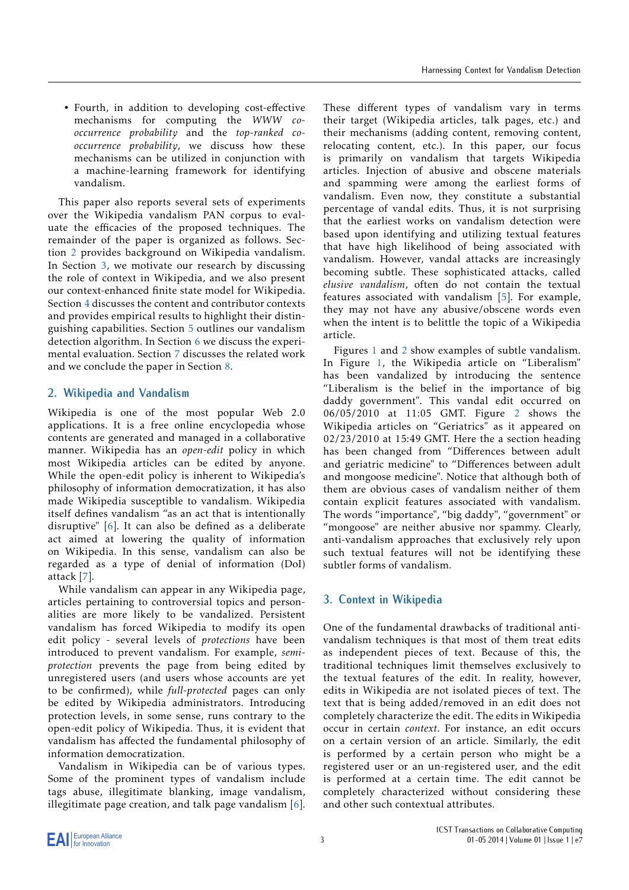• Fourth, in addition to developing cost-effective mechanisms for computing the *WWW cooccurrence probability* and the *top-ranked cooccurrence probability*, we discuss how these mechanisms can be utilized in conjunction with a machine-learning framework for identifying vandalism.

This paper also reports several sets of experiments over the Wikipedia vandalism PAN corpus to evaluate the efficacies of the proposed techniques. The remainder of the paper is organized as follows. Section 2 provides background on Wikipedia vandalism. In Section 3, we motivate our research by discussing the role of context in Wikipedia, and we also present our context-enhanced finite state model for Wikipedia. Section 4 discusses the content and contributor contexts and provides empirical results to highlight their distinguishing capabilities. Section 5 outlines our vandalism detection algorithm. In Section 6 we discuss the experimental evaluation. Section 7 discusses the related work and we conclude the paper in Section 8.

# **2. Wikipedia and Vandalism**

Wikipedia is one of the most popular Web 2.0 applications. It is a free online encyclopedia whose contents are generated and managed in a collaborative manner. Wikipedia has an *open-edit* policy in which most Wikipedia articles can be edited by anyone. While the open-edit policy is inherent to Wikipedia's philosophy of information democratization, it has also made Wikipedia susceptible to vandalism. Wikipedia itself defines vandalism "as an act that is intentionally disruptive" [6]. It can also be defined as a deliberate act aimed at lowering the quality of information on Wikipedia. In this sense, vandalism can also be regarded as a type of denial of information (DoI) attack [7].

While vandalism can appear in any Wikipedia page, articles pertaining to controversial topics and personalities are more likely to be vandalized. Persistent vandalism has forced Wikipedia to modify its open edit policy - several levels of *protections* have been introduced to prevent vandalism. For example, *semiprotection* prevents the page from being edited by unregistered users (and users whose accounts are yet to be confirmed), while *full-protected* pages can only be edited by Wikipedia administrators. Introducing protection levels, in some sense, runs contrary to the open-edit policy of Wikipedia. Thus, it is evident that vandalism has affected the fundamental philosophy of information democratization.

Vandalism in Wikipedia can be of various types. Some of the prominent types of vandalism include tags abuse, illegitimate blanking, image vandalism, illegitimate page creation, and talk page vandalism [6]. These different types of vandalism vary in terms their target (Wikipedia articles, talk pages, etc.) and their mechanisms (adding content, removing content, relocating content, etc.). In this paper, our focus is primarily on vandalism that targets Wikipedia articles. Injection of abusive and obscene materials and spamming were among the earliest forms of vandalism. Even now, they constitute a substantial percentage of vandal edits. Thus, it is not surprising that the earliest works on vandalism detection were based upon identifying and utilizing textual features that have high likelihood of being associated with vandalism. However, vandal attacks are increasingly becoming subtle. These sophisticated attacks, called *elusive vandalism*, often do not contain the textual features associated with vandalism [5]. For example, they may not have any abusive/obscene words even when the intent is to belittle the topic of a Wikipedia article.

Figures 1 and 2 show examples of subtle vandalism. In Figure 1, the Wikipedia article on "Liberalism" has been vandalized by introducing the sentence "Liberalism is the belief in the importance of big daddy government". This vandal edit occurred on 06/05/2010 at 11:05 GMT. Figure 2 shows the Wikipedia articles on "Geriatrics" as it appeared on 02/23/2010 at 15:49 GMT. Here the a section heading has been changed from "Differences between adult and geriatric medicine" to "Differences between adult and mongoose medicine". Notice that although both of them are obvious cases of vandalism neither of them contain explicit features associated with vandalism. The words "importance", "big daddy", "government" or "mongoose" are neither abusive nor spammy. Clearly, anti-vandalism approaches that exclusively rely upon such textual features will not be identifying these subtler forms of vandalism.

# **3. Context in Wikipedia**

One of the fundamental drawbacks of traditional antivandalism techniques is that most of them treat edits as independent pieces of text. Because of this, the traditional techniques limit themselves exclusively to the textual features of the edit. In reality, however, edits in Wikipedia are not isolated pieces of text. The text that is being added/removed in an edit does not completely characterize the edit. The edits in Wikipedia occur in certain *context*. For instance, an edit occurs on a certain version of an article. Similarly, the edit is performed by a certain person who might be a registered user or an un-registered user, and the edit is performed at a certain time. The edit cannot be completely characterized without considering these and other such contextual attributes.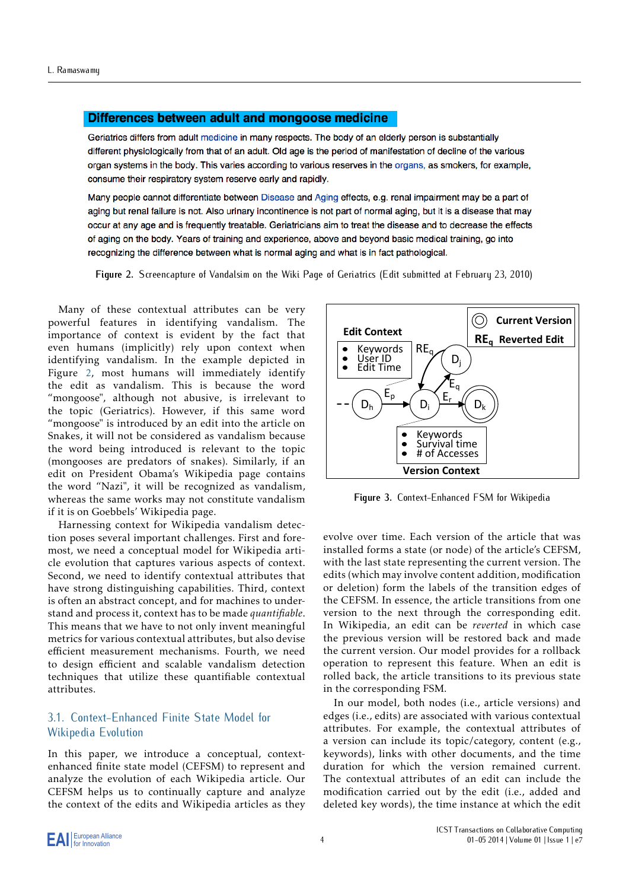#### Differences between adult and mongoose medicine

Geriatrics differs from adult medicine in many respects. The body of an elderly person is substantially different physiologically from that of an adult. Old age is the period of manifestation of decline of the various organ systems in the body. This varies according to various reserves in the organs, as smokers, for example, consume their respiratory system reserve early and rapidly.

Many people cannot differentiate between Disease and Aging effects, e.g. renal impairment may be a part of aging but renal failure is not. Also urinary incontinence is not part of normal aging, but it is a disease that may occur at any age and is frequently treatable. Geriatricians aim to treat the disease and to decrease the effects of aging on the body. Years of training and experience, above and beyond basic medical training, go into recognizing the difference between what is normal aging and what is in fact pathological.

**Figure 2.** Screencapture of Vandalsim on the Wiki Page of Geriatrics (Edit submitted at February 23, 2010)

Many of these contextual attributes can be very powerful features in identifying vandalism. The importance of context is evident by the fact that even humans (implicitly) rely upon context when identifying vandalism. In the example depicted in Figure 2, most humans will immediately identify the edit as vandalism. This is because the word "mongoose", although not abusive, is irrelevant to the topic (Geriatrics). However, if this same word "mongoose" is introduced by an edit into the article on Snakes, it will not be considered as vandalism because the word being introduced is relevant to the topic (mongooses are predators of snakes). Similarly, if an edit on President Obama's Wikipedia page contains the word "Nazi", it will be recognized as vandalism, whereas the same works may not constitute vandalism if it is on Goebbels' Wikipedia page.

Harnessing context for Wikipedia vandalism detection poses several important challenges. First and foremost, we need a conceptual model for Wikipedia article evolution that captures various aspects of context. Second, we need to identify contextual attributes that have strong distinguishing capabilities. Third, context is often an abstract concept, and for machines to understand and process it, context has to be made *quantifiable*. This means that we have to not only invent meaningful metrics for various contextual attributes, but also devise efficient measurement mechanisms. Fourth, we need to design efficient and scalable vandalism detection techniques that utilize these quantifiable contextual attributes.

## 3.1. Context-Enhanced Finite State Model for Wikipedia Evolution

In this paper, we introduce a conceptual, contextenhanced finite state model (CEFSM) to represent and analyze the evolution of each Wikipedia article. Our CEFSM helps us to continually capture and analyze the context of the edits and Wikipedia articles as they



**Figure 3.** Context-Enhanced FSM for Wikipedia

evolve over time. Each version of the article that was installed forms a state (or node) of the article's CEFSM, with the last state representing the current version. The edits (which may involve content addition, modification or deletion) form the labels of the transition edges of the CEFSM. In essence, the article transitions from one version to the next through the corresponding edit. In Wikipedia, an edit can be *reverted* in which case the previous version will be restored back and made the current version. Our model provides for a rollback operation to represent this feature. When an edit is rolled back, the article transitions to its previous state in the corresponding FSM.

In our model, both nodes (i.e., article versions) and edges (i.e., edits) are associated with various contextual attributes. For example, the contextual attributes of a version can include its topic/category, content (e.g., keywords), links with other documents, and the time duration for which the version remained current. The contextual attributes of an edit can include the modification carried out by the edit (i.e., added and deleted key words), the time instance at which the edit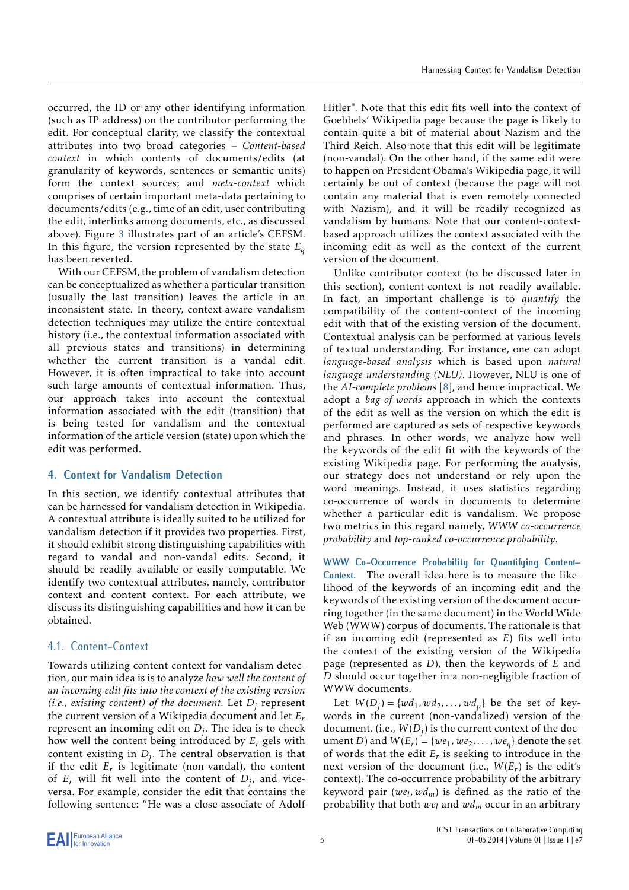occurred, the ID or any other identifying information (such as IP address) on the contributor performing the edit. For conceptual clarity, we classify the contextual attributes into two broad categories – *Content-based context* in which contents of documents/edits (at granularity of keywords, sentences or semantic units) form the context sources; and *meta-context* which comprises of certain important meta-data pertaining to documents/edits (e.g., time of an edit, user contributing the edit, interlinks among documents, etc., as discussed above). Figure 3 illustrates part of an article's CEFSM. In this figure, the version represented by the state  $E_q$ has been reverted.

With our CEFSM, the problem of vandalism detection can be conceptualized as whether a particular transition (usually the last transition) leaves the article in an inconsistent state. In theory, context-aware vandalism detection techniques may utilize the entire contextual history (i.e., the contextual information associated with all previous states and transitions) in determining whether the current transition is a vandal edit. However, it is often impractical to take into account such large amounts of contextual information. Thus, our approach takes into account the contextual information associated with the edit (transition) that is being tested for vandalism and the contextual information of the article version (state) upon which the edit was performed.

## **4. Context for Vandalism Detection**

In this section, we identify contextual attributes that can be harnessed for vandalism detection in Wikipedia. A contextual attribute is ideally suited to be utilized for vandalism detection if it provides two properties. First, it should exhibit strong distinguishing capabilities with regard to vandal and non-vandal edits. Second, it should be readily available or easily computable. We identify two contextual attributes, namely, contributor context and content context. For each attribute, we discuss its distinguishing capabilities and how it can be obtained.

# 4.1. Content-Context

Towards utilizing content-context for vandalism detection, our main idea is is to analyze *how well the content of an incoming edit fits into the context of the existing version (i.e., existing content) of the document.* Let *D<sup>j</sup>* represent the current version of a Wikipedia document and let *E<sup>r</sup>* represent an incoming edit on *D<sup>j</sup>* . The idea is to check how well the content being introduced by *E<sup>r</sup>* gels with content existing in *D<sup>j</sup>* . The central observation is that if the edit *E<sup>r</sup>* is legitimate (non-vandal), the content of  $E_r$  will fit well into the content of  $D_j$ , and viceversa. For example, consider the edit that contains the following sentence: "He was a close associate of Adolf

Hitler". Note that this edit fits well into the context of Goebbels' Wikipedia page because the page is likely to contain quite a bit of material about Nazism and the Third Reich. Also note that this edit will be legitimate (non-vandal). On the other hand, if the same edit were to happen on President Obama's Wikipedia page, it will certainly be out of context (because the page will not contain any material that is even remotely connected with Nazism), and it will be readily recognized as vandalism by humans. Note that our content-contextbased approach utilizes the context associated with the incoming edit as well as the context of the current version of the document.

Unlike contributor context (to be discussed later in this section), content-context is not readily available. In fact, an important challenge is to *quantify* the compatibility of the content-context of the incoming edit with that of the existing version of the document. Contextual analysis can be performed at various levels of textual understanding. For instance, one can adopt *language-based analysis* which is based upon *natural language understanding (NLU)*. However, NLU is one of the *AI-complete problems* [8], and hence impractical. We adopt a *bag-of-words* approach in which the contexts of the edit as well as the version on which the edit is performed are captured as sets of respective keywords and phrases. In other words, we analyze how well the keywords of the edit fit with the keywords of the existing Wikipedia page. For performing the analysis, our strategy does not understand or rely upon the word meanings. Instead, it uses statistics regarding co-occurrence of words in documents to determine whether a particular edit is vandalism. We propose two metrics in this regard namely, *WWW co-occurrence probability* and *top-ranked co-occurrence probability*.

**WWW Co-Occurrence Probability for Quantifying Content– Context.** The overall idea here is to measure the likelihood of the keywords of an incoming edit and the keywords of the existing version of the document occurring together (in the same document) in the World Wide Web (WWW) corpus of documents. The rationale is that if an incoming edit (represented as *E*) fits well into the context of the existing version of the Wikipedia page (represented as *D*), then the keywords of *E* and *D* should occur together in a non-negligible fraction of WWW documents.

Let  $W(D_j) = \{wd_1, wd_2, ..., wd_p\}$  be the set of keywords in the current (non-vandalized) version of the document. (i.e.,  $W(D_j)$  is the current context of the document *D*) and  $W(E_r) = \{we_1, we_2, \ldots, we_q\}$  denote the set of words that the edit  $E_r$  is seeking to introduce in the next version of the document (i.e.,  $W(E_r)$  is the edit's context). The co-occurrence probability of the arbitrary keyword pair (*we<sup>l</sup> , wdm*) is defined as the ratio of the probability that both *we<sup>l</sup>* and *wd<sup>m</sup>* occur in an arbitrary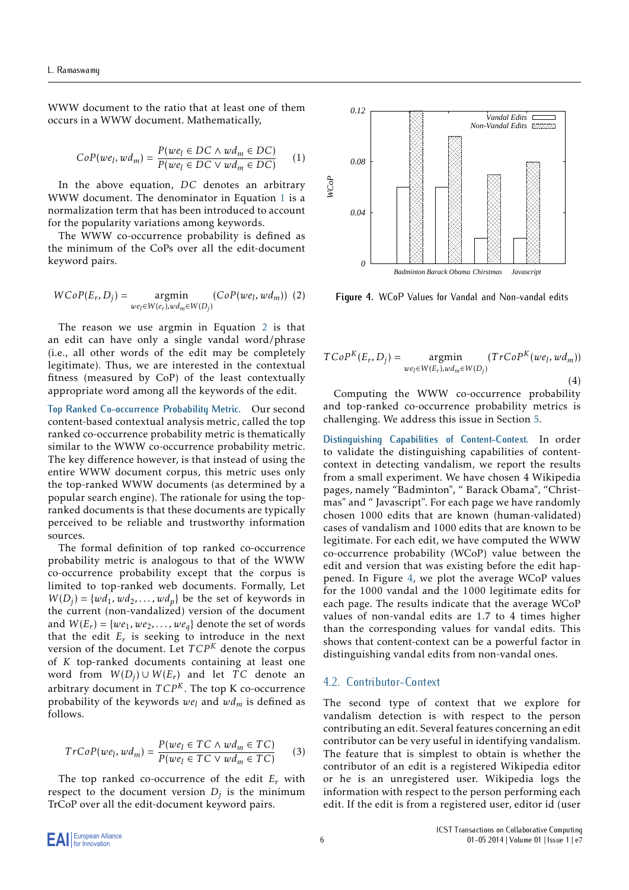WWW document to the ratio that at least one of them occurs in a WWW document. Mathematically,

$$
CoP(we_l, wd_m) = \frac{P(we_l \in DC \land wd_m \in DC)}{P(we_l \in DC \lor wd_m \in DC)} \qquad (1)
$$

In the above equation, *DC* denotes an arbitrary WWW document. The denominator in Equation 1 is a normalization term that has been introduced to account for the popularity variations among keywords.

The WWW co-occurrence probability is defined as the minimum of the CoPs over all the edit-document keyword pairs.

$$
WCoP(E_r, D_j) = \underset{we_l \in W(e_r), w d_m \in W(D_j)}{\operatorname{argmin}} (CoP(we_l, wd_m)) \tag{2}
$$

The reason we use argmin in Equation 2 is that an edit can have only a single vandal word/phrase (i.e., all other words of the edit may be completely legitimate). Thus, we are interested in the contextual fitness (measured by CoP) of the least contextually appropriate word among all the keywords of the edit.

**Top Ranked Co-occurrence Probability Metric.** Our second content-based contextual analysis metric, called the top ranked co-occurrence probability metric is thematically similar to the WWW co-occurrence probability metric. The key difference however, is that instead of using the entire WWW document corpus, this metric uses only the top-ranked WWW documents (as determined by a popular search engine). The rationale for using the topranked documents is that these documents are typically perceived to be reliable and trustworthy information sources.

The formal definition of top ranked co-occurrence probability metric is analogous to that of the WWW co-occurrence probability except that the corpus is limited to top-ranked web documents. Formally, Let  $W(D_j) = \{wd_1, wd_2, \ldots, wd_p\}$  be the set of keywords in the current (non-vandalized) version of the document and  $W(E_r) = \{w e_1, w e_2, \dots, w e_q\}$  denote the set of words that the edit  $E_r$  is seeking to introduce in the next version of the document. Let  $TCP<sup>K</sup>$  denote the corpus of *K* top-ranked documents containing at least one word from  $W(D_j) \cup W(E_r)$  and let  $TC$  denote an arbitrary document in  $TCP^K$ . The top K co-occurrence probability of the keywords  $we_l$  and  $wd_m$  is defined as follows.

$$
TrCoP(we_l, wd_m) = \frac{P(we_l \in TC \land wd_m \in TC)}{P(we_l \in TC \lor wd_m \in TC)} \tag{3}
$$

The top ranked co-occurrence of the edit *E<sup>r</sup>* with respect to the document version  $D_j$  is the minimum TrCoP over all the edit-document keyword pairs.



**Figure 4.** WCoP Values for Vandal and Non-vandal edits

$$
TCoPK(Er, Dj) = \underset{w el \in W(Er), w dm \in W(Dj)}{\operatorname{argmin}} (TrCoPK(wel, wdm))
$$
\n(4)

Computing the WWW co-occurrence probability and top-ranked co-occurrence probability metrics is challenging. We address this issue in Section 5.

**Distinguishing Capabilities of Content-Context.** In order to validate the distinguishing capabilities of contentcontext in detecting vandalism, we report the results from a small experiment. We have chosen 4 Wikipedia pages, namely "Badminton", " Barack Obama", "Christmas" and " Javascript". For each page we have randomly chosen 1000 edits that are known (human-validated) cases of vandalism and 1000 edits that are known to be legitimate. For each edit, we have computed the WWW co-occurrence probability (WCoP) value between the edit and version that was existing before the edit happened. In Figure 4, we plot the average WCoP values for the 1000 vandal and the 1000 legitimate edits for each page. The results indicate that the average WCoP values of non-vandal edits are 1.7 to 4 times higher than the corresponding values for vandal edits. This shows that content-context can be a powerful factor in distinguishing vandal edits from non-vandal ones.

#### 4.2. Contributor-Context

The second type of context that we explore for vandalism detection is with respect to the person contributing an edit. Several features concerning an edit contributor can be very useful in identifying vandalism. The feature that is simplest to obtain is whether the contributor of an edit is a registered Wikipedia editor or he is an unregistered user. Wikipedia logs the information with respect to the person performing each edit. If the edit is from a registered user, editor id (user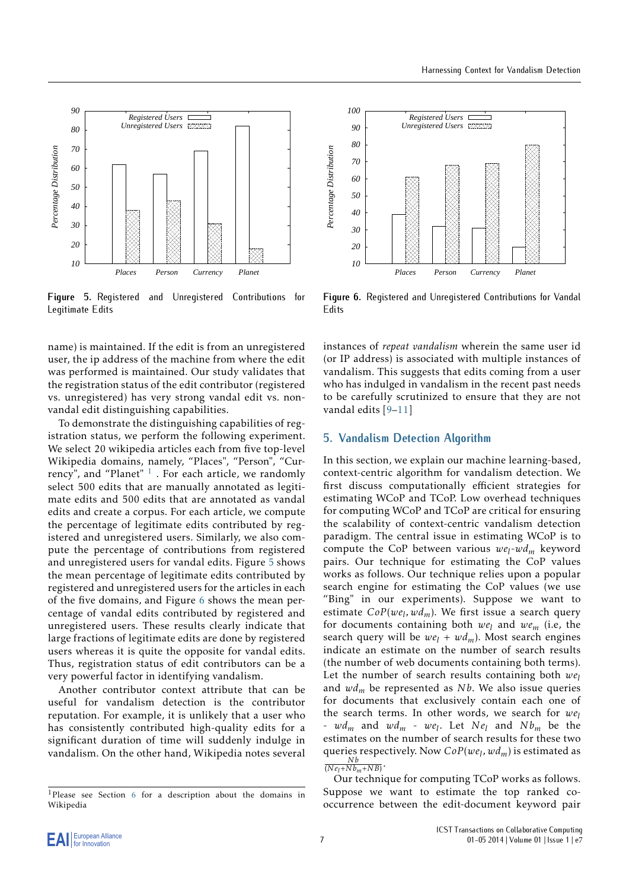

**Figure 5.** Registered and Unregistered Contributions for Legitimate Edits

name) is maintained. If the edit is from an unregistered user, the ip address of the machine from where the edit was performed is maintained. Our study validates that the registration status of the edit contributor (registered vs. unregistered) has very strong vandal edit vs. nonvandal edit distinguishing capabilities.

To demonstrate the distinguishing capabilities of registration status, we perform the following experiment. We select 20 wikipedia articles each from five top-level Wikipedia domains, namely, "Places", "Person", "Currency", and "Planet"  $^1$  . For each article, we randomly select 500 edits that are manually annotated as legitimate edits and 500 edits that are annotated as vandal edits and create a corpus. For each article, we compute the percentage of legitimate edits contributed by registered and unregistered users. Similarly, we also compute the percentage of contributions from registered and unregistered users for vandal edits. Figure 5 shows the mean percentage of legitimate edits contributed by registered and unregistered users for the articles in each of the five domains, and Figure 6 shows the mean percentage of vandal edits contributed by registered and unregistered users. These results clearly indicate that large fractions of legitimate edits are done by registered users whereas it is quite the opposite for vandal edits. Thus, registration status of edit contributors can be a very powerful factor in identifying vandalism.

Another contributor context attribute that can be useful for vandalism detection is the contributor reputation. For example, it is unlikely that a user who has consistently contributed high-quality edits for a significant duration of time will suddenly indulge in vandalism. On the other hand, Wikipedia notes several



**Figure 6.** Registered and Unregistered Contributions for Vandal Edits

instances of *repeat vandalism* wherein the same user id (or IP address) is associated with multiple instances of vandalism. This suggests that edits coming from a user who has indulged in vandalism in the recent past needs to be carefully scrutinized to ensure that they are not vandal edits [9–11]

#### **5. Vandalism Detection Algorithm**

In this section, we explain our machine learning-based, context-centric algorithm for vandalism detection. We first discuss computationally efficient strategies for estimating WCoP and TCoP. Low overhead techniques for computing WCoP and TCoP are critical for ensuring the scalability of context-centric vandalism detection paradigm. The central issue in estimating WCoP is to compute the CoP between various *we<sup>l</sup>* -*wd<sup>m</sup>* keyword pairs. Our technique for estimating the CoP values works as follows. Our technique relies upon a popular search engine for estimating the CoP values (we use "Bing" in our experiments). Suppose we want to estimate  $CoP(we_l, wd_m)$ . We first issue a search query for documents containing both *we<sup>l</sup>* and *we<sup>m</sup>* (i.e, the search query will be  $we_1 + wd_m$ ). Most search engines indicate an estimate on the number of search results (the number of web documents containing both terms). Let the number of search results containing both *we<sup>l</sup>* and *wd<sup>m</sup>* be represented as *Nb*. We also issue queries for documents that exclusively contain each one of the search terms. In other words, we search for *we<sup>l</sup>* -  $wd_m$  and  $wd_m$  -  $we_l$ . Let  $Ne_l$  and  $Nb_m$  be the estimates on the number of search results for these two queries respectively. Now *CoP* (*we<sup>l</sup> , wdm*) is estimated as

<sup>1</sup>Please see Section 6 for a description about the domains in Wikipedia

 $\frac{Nb}{(Ne_l+Nb_m+NB)}$ .

Our technique for computing TCoP works as follows. Suppose we want to estimate the top ranked cooccurrence between the edit-document keyword pair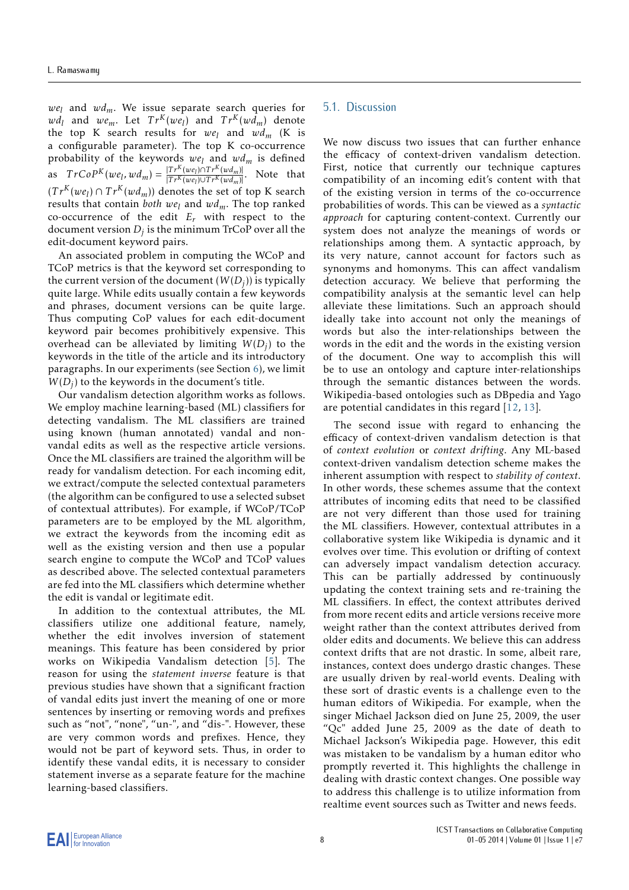*we<sup>l</sup>* and *wdm*. We issue separate search queries for  $wd_l$  and  $we_m$ . Let  $Tr^K(we_l)$  and  $Tr^K(wd_m)$  denote the top K search results for  $we_l$  and  $wd_m$  (K is a configurable parameter). The top K co-occurrence probability of the keywords *we<sup>l</sup>* and *wd<sup>m</sup>* is defined as  $TrCoP^{K}(we_{l},wd_{m}) = \frac{|Tr^{K}(we_{l}) \cap Tr^{K}(wd_{m})|}{|Tr^{K}(we_{l}) \cup Tr^{K}(wd_{m})|}$  $\frac{|T|^{T} (w e_l) \cup T r^{K} (w d_m)|}{|T r^{K} (w e_l) \cup T r^{K} (w d_m)|}$ . Note that  $(Tr^K(we_l) \cap Tr^K(wd_m))$  denotes the set of top K search results that contain *both we<sup>l</sup>* and *wdm*. The top ranked co-occurrence of the edit  $E_r$  with respect to the document version *D<sup>j</sup>* is the minimum TrCoP over all the edit-document keyword pairs.

An associated problem in computing the WCoP and TCoP metrics is that the keyword set corresponding to the current version of the document  $(W(D_j))$  is typically quite large. While edits usually contain a few keywords and phrases, document versions can be quite large. Thus computing CoP values for each edit-document keyword pair becomes prohibitively expensive. This overhead can be alleviated by limiting  $W(D_j)$  to the keywords in the title of the article and its introductory paragraphs. In our experiments (see Section 6), we limit  $W(D_j)$  to the keywords in the document's title.

Our vandalism detection algorithm works as follows. We employ machine learning-based (ML) classifiers for detecting vandalism. The ML classifiers are trained using known (human annotated) vandal and nonvandal edits as well as the respective article versions. Once the ML classifiers are trained the algorithm will be ready for vandalism detection. For each incoming edit, we extract/compute the selected contextual parameters (the algorithm can be configured to use a selected subset of contextual attributes). For example, if WCoP/TCoP parameters are to be employed by the ML algorithm, we extract the keywords from the incoming edit as well as the existing version and then use a popular search engine to compute the WCoP and TCoP values as described above. The selected contextual parameters are fed into the ML classifiers which determine whether the edit is vandal or legitimate edit.

In addition to the contextual attributes, the ML classifiers utilize one additional feature, namely, whether the edit involves inversion of statement meanings. This feature has been considered by prior works on Wikipedia Vandalism detection [5]. The reason for using the *statement inverse* feature is that previous studies have shown that a significant fraction of vandal edits just invert the meaning of one or more sentences by inserting or removing words and prefixes such as "not", "none", "un-", and "dis-". However, these are very common words and prefixes. Hence, they would not be part of keyword sets. Thus, in order to identify these vandal edits, it is necessary to consider statement inverse as a separate feature for the machine learning-based classifiers.

## 5.1. Discussion

We now discuss two issues that can further enhance the efficacy of context-driven vandalism detection. First, notice that currently our technique captures compatibility of an incoming edit's content with that of the existing version in terms of the co-occurrence probabilities of words. This can be viewed as a *syntactic approach* for capturing content-context. Currently our system does not analyze the meanings of words or relationships among them. A syntactic approach, by its very nature, cannot account for factors such as synonyms and homonyms. This can affect vandalism detection accuracy. We believe that performing the compatibility analysis at the semantic level can help alleviate these limitations. Such an approach should ideally take into account not only the meanings of words but also the inter-relationships between the words in the edit and the words in the existing version of the document. One way to accomplish this will be to use an ontology and capture inter-relationships through the semantic distances between the words. Wikipedia-based ontologies such as DBpedia and Yago are potential candidates in this regard [12, 13].

The second issue with regard to enhancing the efficacy of context-driven vandalism detection is that of *context evolution* or *context drifting*. Any ML-based context-driven vandalism detection scheme makes the inherent assumption with respect to *stability of context*. In other words, these schemes assume that the context attributes of incoming edits that need to be classified are not very different than those used for training the ML classifiers. However, contextual attributes in a collaborative system like Wikipedia is dynamic and it evolves over time. This evolution or drifting of context can adversely impact vandalism detection accuracy. This can be partially addressed by continuously updating the context training sets and re-training the ML classifiers. In effect, the context attributes derived from more recent edits and article versions receive more weight rather than the context attributes derived from older edits and documents. We believe this can address context drifts that are not drastic. In some, albeit rare, instances, context does undergo drastic changes. These are usually driven by real-world events. Dealing with these sort of drastic events is a challenge even to the human editors of Wikipedia. For example, when the singer Michael Jackson died on June 25, 2009, the user "Qc" added June 25, 2009 as the date of death to Michael Jackson's Wikipedia page. However, this edit was mistaken to be vandalism by a human editor who promptly reverted it. This highlights the challenge in dealing with drastic context changes. One possible way to address this challenge is to utilize information from realtime event sources such as Twitter and news feeds.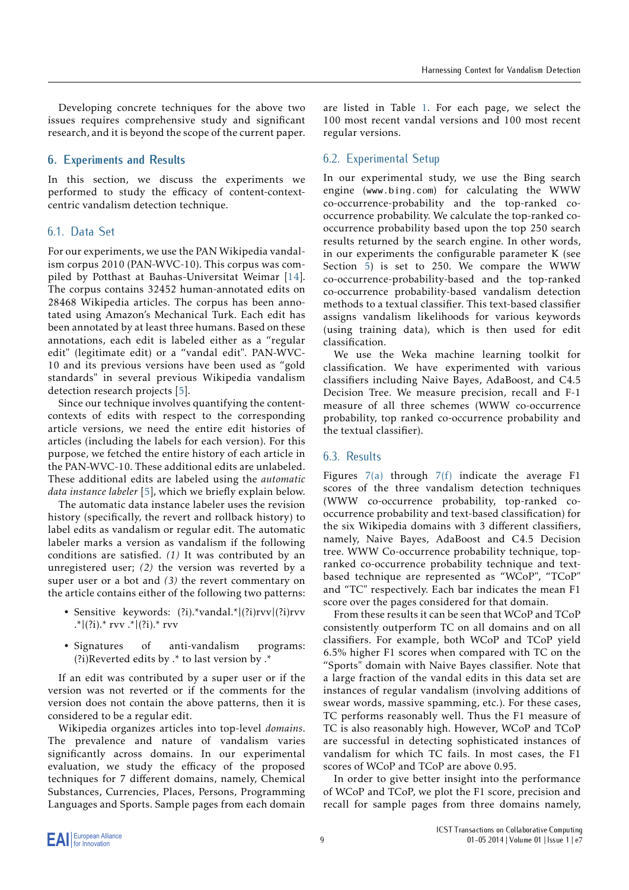Developing concrete techniques for the above two issues requires comprehensive study and significant research, and it is beyond the scope of the current paper.

#### **6. Experiments and Results**

In this section, we discuss the experiments we performed to study the efficacy of content-contextcentric vandalism detection technique.

#### 6.1. Data Set

For our experiments, we use the PAN Wikipedia vandalism corpus 2010 (PAN-WVC-10). This corpus was compiled by Potthast at Bauhas-Universitat Weimar [14]. The corpus contains 32452 human-annotated edits on 28468 Wikipedia articles. The corpus has been annotated using Amazon's Mechanical Turk. Each edit has been annotated by at least three humans. Based on these annotations, each edit is labeled either as a "regular edit" (legitimate edit) or a "vandal edit". PAN-WVC-10 and its previous versions have been used as "gold standards" in several previous Wikipedia vandalism detection research projects [5].

Since our technique involves quantifying the contentcontexts of edits with respect to the corresponding article versions, we need the entire edit histories of articles (including the labels for each version). For this purpose, we fetched the entire history of each article in the PAN-WVC-10. These additional edits are unlabeled. These additional edits are labeled using the *automatic data instance labeler* [5], which we briefly explain below.

The automatic data instance labeler uses the revision history (specifically, the revert and rollback history) to label edits as vandalism or regular edit. The automatic labeler marks a version as vandalism if the following conditions are satisfied. *(1)* It was contributed by an unregistered user; *(2)* the version was reverted by a super user or a bot and *(3)* the revert commentary on the article contains either of the following two patterns:

- Sensitive keywords: (?i).\*vandal.\*|(?i)rvv|(?i)rvv .\*|(?i).\* rvv .\*|(?i).\* rvv
- Signatures of anti-vandalism programs: (?i)Reverted edits by .\* to last version by .\*

If an edit was contributed by a super user or if the version was not reverted or if the comments for the version does not contain the above patterns, then it is considered to be a regular edit.

Wikipedia organizes articles into top-level *domains*. The prevalence and nature of vandalism varies significantly across domains. In our experimental evaluation, we study the efficacy of the proposed techniques for 7 different domains, namely, Chemical Substances, Currencies, Places, Persons, Programming Languages and Sports. Sample pages from each domain are listed in Table 1. For each page, we select the 100 most recent vandal versions and 100 most recent regular versions.

## 6.2. Experimental Setup

In our experimental study, we use the Bing search engine (www.bing.com) for calculating the WWW co-occurrence-probability and the top-ranked cooccurrence probability. We calculate the top-ranked cooccurrence probability based upon the top 250 search results returned by the search engine. In other words, in our experiments the configurable parameter K (see Section 5) is set to 250. We compare the WWW co-occurrence-probability-based and the top-ranked co-occurrence probability-based vandalism detection methods to a textual classifier. This text-based classifier assigns vandalism likelihoods for various keywords (using training data), which is then used for edit classification.

We use the Weka machine learning toolkit for classification. We have experimented with various classifiers including Naive Bayes, AdaBoost, and C4.5 Decision Tree. We measure precision, recall and F-1 measure of all three schemes (WWW co-occurrence probability, top ranked co-occurrence probability and the textual classifier).

#### 6.3. Results

Figures 7(a) through 7(f) indicate the average F1 scores of the three vandalism detection techniques (WWW co-occurrence probability, top-ranked cooccurrence probability and text-based classification) for the six Wikipedia domains with 3 different classifiers, namely, Naive Bayes, AdaBoost and C4.5 Decision tree. WWW Co-occurrence probability technique, topranked co-occurrence probability technique and textbased technique are represented as "WCoP", "TCoP" and "TC" respectively. Each bar indicates the mean F1 score over the pages considered for that domain.

From these results it can be seen that WCoP and TCoP consistently outperform TC on all domains and on all classifiers. For example, both WCoP and TCoP yield 6.5% higher F1 scores when compared with TC on the "Sports" domain with Naive Bayes classifier. Note that a large fraction of the vandal edits in this data set are instances of regular vandalism (involving additions of swear words, massive spamming, etc.). For these cases, TC performs reasonably well. Thus the F1 measure of TC is also reasonably high. However, WCoP and TCoP are successful in detecting sophisticated instances of vandalism for which TC fails. In most cases, the F1 scores of WCoP and TCoP are above 0.95.

In order to give better insight into the performance of WCoP and TCoP, we plot the F1 score, precision and recall for sample pages from three domains namely,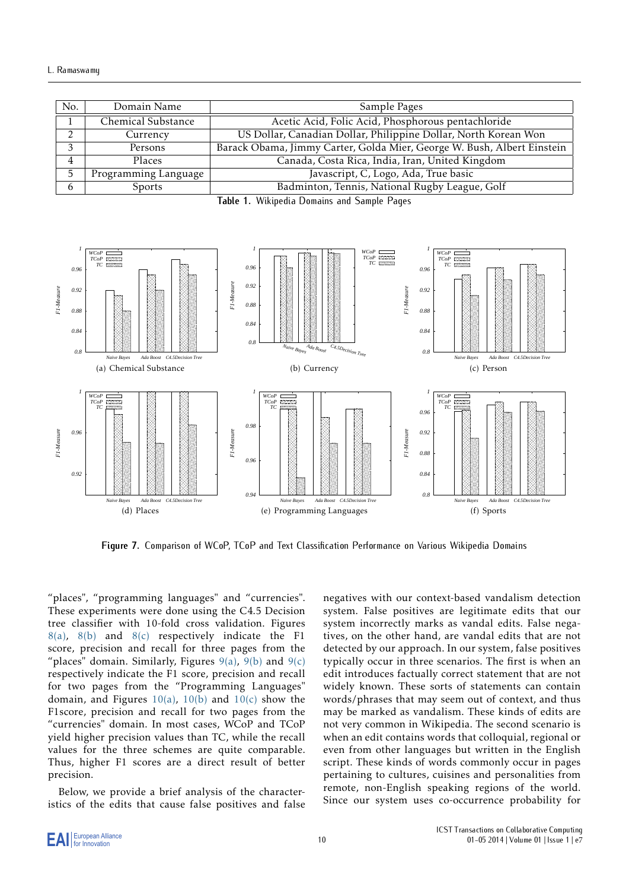| No. | Domain Name          | Sample Pages                                                            |
|-----|----------------------|-------------------------------------------------------------------------|
|     | Chemical Substance   | Acetic Acid, Folic Acid, Phosphorous pentachloride                      |
|     | Currency             | US Dollar, Canadian Dollar, Philippine Dollar, North Korean Won         |
| 3   | Persons              | Barack Obama, Jimmy Carter, Golda Mier, George W. Bush, Albert Einstein |
| 4   | <b>Places</b>        | Canada, Costa Rica, India, Iran, United Kingdom                         |
| 5   | Programming Language | Javascript, C, Logo, Ada, True basic                                    |
| 6   | Sports               | Badminton, Tennis, National Rugby League, Golf                          |

**Table 1.** Wikipedia Domains and Sample Pages



**Figure 7.** Comparison of WCoP, TCoP and Text Classification Performance on Various Wikipedia Domains

"places", "programming languages" and "currencies". These experiments were done using the C4.5 Decision tree classifier with 10-fold cross validation. Figures  $8(a)$ ,  $8(b)$  and  $8(c)$  respectively indicate the F1 score, precision and recall for three pages from the "places" domain. Similarly, Figures  $9(a)$ ,  $9(b)$  and  $9(c)$ respectively indicate the F1 score, precision and recall for two pages from the "Programming Languages" domain, and Figures  $10(a)$ ,  $10(b)$  and  $10(c)$  show the F1score, precision and recall for two pages from the "currencies" domain. In most cases, WCoP and TCoP yield higher precision values than TC, while the recall values for the three schemes are quite comparable. Thus, higher F1 scores are a direct result of better precision.

Below, we provide a brief analysis of the characteristics of the edits that cause false positives and false negatives with our context-based vandalism detection system. False positives are legitimate edits that our system incorrectly marks as vandal edits. False negatives, on the other hand, are vandal edits that are not detected by our approach. In our system, false positives typically occur in three scenarios. The first is when an edit introduces factually correct statement that are not widely known. These sorts of statements can contain words/phrases that may seem out of context, and thus may be marked as vandalism. These kinds of edits are not very common in Wikipedia. The second scenario is when an edit contains words that colloquial, regional or even from other languages but written in the English script. These kinds of words commonly occur in pages pertaining to cultures, cuisines and personalities from remote, non-English speaking regions of the world. Since our system uses co-occurrence probability for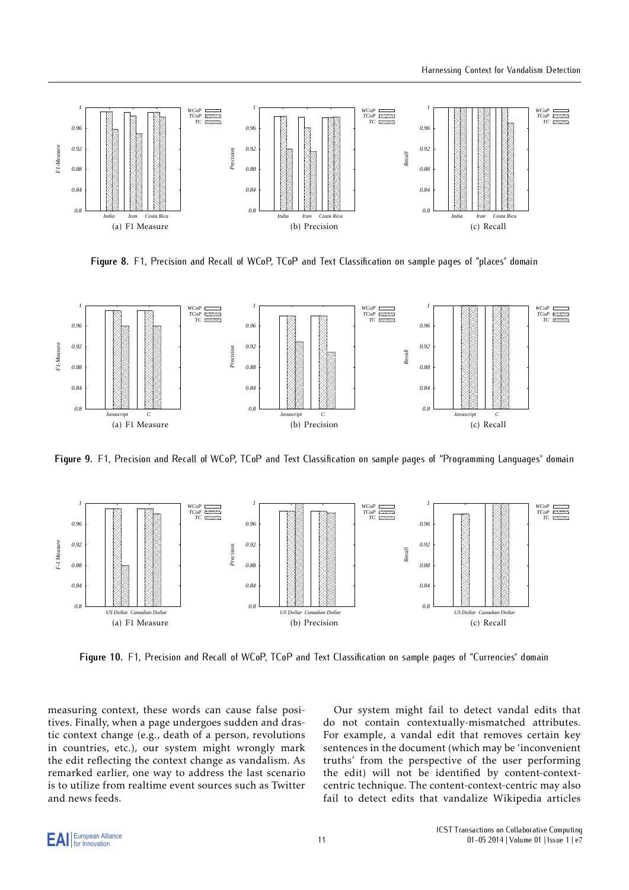

**Figure 8.** F1, Precision and Recall of WCoP, TCoP and Text Classification on sample pages of "places" domain



**Figure 9.** F1, Precision and Recall of WCoP, TCoP and Text Classification on sample pages of "Programming Languages" domain



**Figure 10.** F1, Precision and Recall of WCoP, TCoP and Text Classification on sample pages of "Currencies" domain

measuring context, these words can cause false positives. Finally, when a page undergoes sudden and drastic context change (e.g., death of a person, revolutions in countries, etc.), our system might wrongly mark the edit reflecting the context change as vandalism. As remarked earlier, one way to address the last scenario is to utilize from realtime event sources such as Twitter and news feeds.

Our system might fail to detect vandal edits that do not contain contextually-mismatched attributes. For example, a vandal edit that removes certain key sentences in the document (which may be 'inconvenient truths' from the perspective of the user performing the edit) will not be identified by content-contextcentric technique. The content-context-centric may also fail to detect edits that vandalize Wikipedia articles

**EAI** European Alliance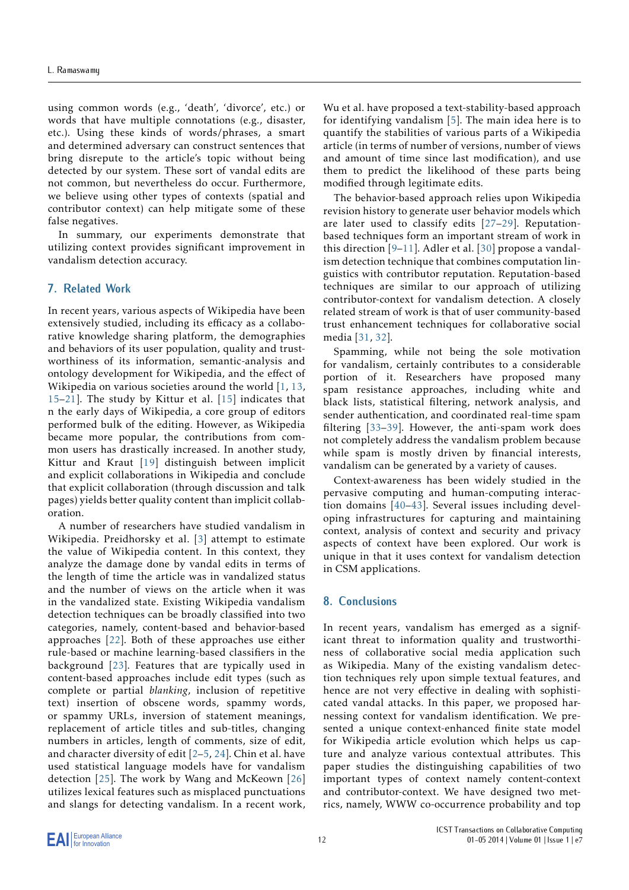using common words (e.g., 'death', 'divorce', etc.) or words that have multiple connotations (e.g., disaster, etc.). Using these kinds of words/phrases, a smart and determined adversary can construct sentences that bring disrepute to the article's topic without being detected by our system. These sort of vandal edits are not common, but nevertheless do occur. Furthermore, we believe using other types of contexts (spatial and contributor context) can help mitigate some of these false negatives.

In summary, our experiments demonstrate that utilizing context provides significant improvement in vandalism detection accuracy.

## **7. Related Work**

In recent years, various aspects of Wikipedia have been extensively studied, including its efficacy as a collaborative knowledge sharing platform, the demographies and behaviors of its user population, quality and trustworthiness of its information, semantic-analysis and ontology development for Wikipedia, and the effect of Wikipedia on various societies around the world [1, 13, 15–21]. The study by Kittur et al. [15] indicates that n the early days of Wikipedia, a core group of editors performed bulk of the editing. However, as Wikipedia became more popular, the contributions from common users has drastically increased. In another study, Kittur and Kraut [19] distinguish between implicit and explicit collaborations in Wikipedia and conclude that explicit collaboration (through discussion and talk pages) yields better quality content than implicit collaboration.

A number of researchers have studied vandalism in Wikipedia. Preidhorsky et al. [3] attempt to estimate the value of Wikipedia content. In this context, they analyze the damage done by vandal edits in terms of the length of time the article was in vandalized status and the number of views on the article when it was in the vandalized state. Existing Wikipedia vandalism detection techniques can be broadly classified into two categories, namely, content-based and behavior-based approaches [22]. Both of these approaches use either rule-based or machine learning-based classifiers in the background [23]. Features that are typically used in content-based approaches include edit types (such as complete or partial *blanking*, inclusion of repetitive text) insertion of obscene words, spammy words, or spammy URLs, inversion of statement meanings, replacement of article titles and sub-titles, changing numbers in articles, length of comments, size of edit, and character diversity of edit [2–5, 24]. Chin et al. have used statistical language models have for vandalism detection [25]. The work by Wang and McKeown [26] utilizes lexical features such as misplaced punctuations and slangs for detecting vandalism. In a recent work,

Wu et al. have proposed a text-stability-based approach for identifying vandalism [5]. The main idea here is to quantify the stabilities of various parts of a Wikipedia article (in terms of number of versions, number of views and amount of time since last modification), and use them to predict the likelihood of these parts being modified through legitimate edits.

The behavior-based approach relies upon Wikipedia revision history to generate user behavior models which are later used to classify edits [27–29]. Reputationbased techniques form an important stream of work in this direction [9–11]. Adler et al. [30] propose a vandalism detection technique that combines computation linguistics with contributor reputation. Reputation-based techniques are similar to our approach of utilizing contributor-context for vandalism detection. A closely related stream of work is that of user community-based trust enhancement techniques for collaborative social media [31, 32].

Spamming, while not being the sole motivation for vandalism, certainly contributes to a considerable portion of it. Researchers have proposed many spam resistance approaches, including white and black lists, statistical filtering, network analysis, and sender authentication, and coordinated real-time spam filtering [33–39]. However, the anti-spam work does not completely address the vandalism problem because while spam is mostly driven by financial interests, vandalism can be generated by a variety of causes.

Context-awareness has been widely studied in the pervasive computing and human-computing interaction domains [40–43]. Several issues including developing infrastructures for capturing and maintaining context, analysis of context and security and privacy aspects of context have been explored. Our work is unique in that it uses context for vandalism detection in CSM applications.

#### **8. Conclusions**

In recent years, vandalism has emerged as a significant threat to information quality and trustworthiness of collaborative social media application such as Wikipedia. Many of the existing vandalism detection techniques rely upon simple textual features, and hence are not very effective in dealing with sophisticated vandal attacks. In this paper, we proposed harnessing context for vandalism identification. We presented a unique context-enhanced finite state model for Wikipedia article evolution which helps us capture and analyze various contextual attributes. This paper studies the distinguishing capabilities of two important types of context namely content-context and contributor-context. We have designed two metrics, namely, WWW co-occurrence probability and top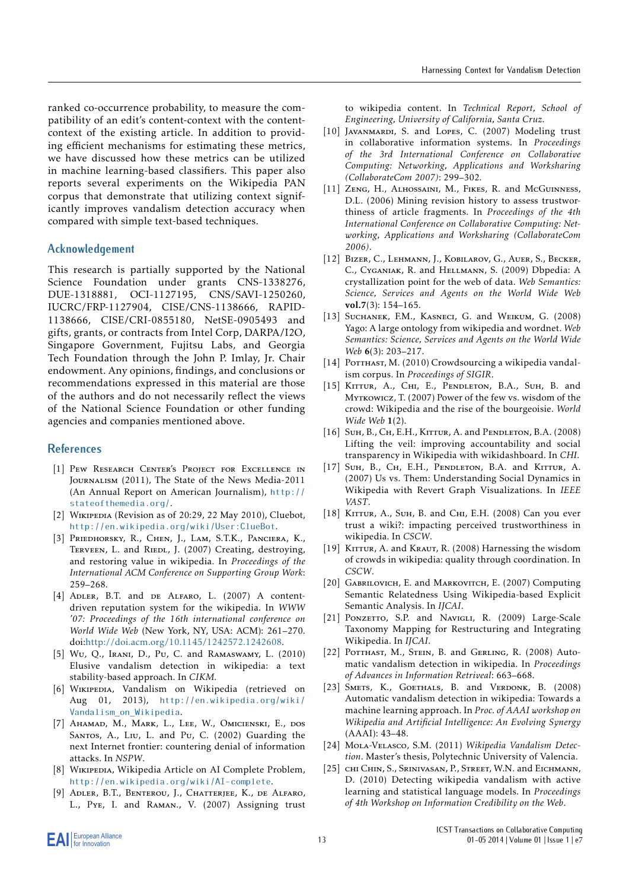ranked co-occurrence probability, to measure the compatibility of an edit's content-context with the contentcontext of the existing article. In addition to providing efficient mechanisms for estimating these metrics, we have discussed how these metrics can be utilized in machine learning-based classifiers. This paper also reports several experiments on the Wikipedia PAN corpus that demonstrate that utilizing context significantly improves vandalism detection accuracy when compared with simple text-based techniques.

#### **Acknowledgement**

This research is partially supported by the National Science Foundation under grants CNS-1338276, DUE-1318881, OCI-1127195, CNS/SAVI-1250260, IUCRC/FRP-1127904, CISE/CNS-1138666, RAPID-1138666, CISE/CRI-0855180, NetSE-0905493 and gifts, grants, or contracts from Intel Corp, DARPA/I2O, Singapore Government, Fujitsu Labs, and Georgia Tech Foundation through the John P. Imlay, Jr. Chair endowment. Any opinions, findings, and conclusions or recommendations expressed in this material are those of the authors and do not necessarily reflect the views of the National Science Foundation or other funding agencies and companies mentioned above.

#### **References**

- [1] Pew Research Center's Project for Excellence in Journalism (2011), The State of the News Media-2011 (An Annual Report on American Journalism), http:// stateofthemedia.org/.
- [2] Wikipedia (Revision as of 20:29, 22 May 2010), Cluebot, http://en.wikipedia.org/wiki/User:ClueBot.
- [3] PRIEDHORSKY, R., CHEN, J., LAM, S.T.K., PANCIERA, K., TERVEEN, L. and RIEDL, J. (2007) Creating, destroying, and restoring value in wikipedia. In *Proceedings of the International ACM Conference on Supporting Group Work*: 259–268.
- [4] ADLER, B.T. and DE ALFARO, L. (2007) A contentdriven reputation system for the wikipedia. In *WWW '07: Proceedings of the 16th international conference on World Wide Web* (New York, NY, USA: ACM): 261–270. doi:http://doi.acm.org/10.1145/1242572.1242608.
- [5] Wu, Q., Irani, D., Pu, C. and Ramaswamy, L. (2010) Elusive vandalism detection in wikipedia: a text stability-based approach. In *CIKM*.
- [6] Wikipedia, Vandalism on Wikipedia (retrieved on Aug 01, 2013), http://en.wikipedia.org/wiki/ Vandalism on Wikipedia.
- [7] Ahamad, M., Mark, L., Lee, W., Omicienski, E., dos Santos, A., Liu, L. and Pu, C. (2002) Guarding the next Internet frontier: countering denial of information attacks. In *NSPW*.
- [8] Wikipedia, Wikipedia Article on AI Complete Problem, http://en.wikipedia.org/wiki/AI-complete.
- [9] Adler, B.T., Benterou, J., Chatterjee, K., de Alfaro, L., PYE, I. and RAMAN., V. (2007) Assigning trust

to wikipedia content. In *Technical Report, School of Engineering, University of California, Santa Cruz*.

- [10] JAVANMARDI, S. and LOPES, C. (2007) Modeling trust in collaborative information systems. In *Proceedings of the 3rd International Conference on Collaborative Computing: Networking, Applications and Worksharing (CollaborateCom 2007)*: 299–302.
- [11] Zeng, H., Alhossaini, M., Fikes, R. and McGuinness, D.L. (2006) Mining revision history to assess trustworthiness of article fragments. In *Proceedings of the 4th International Conference on Collaborative Computing: Networking, Applications and Worksharing (CollaborateCom 2006)*.
- [12] BIZER, C., LEHMANN, J., KOBILAROV, G., AUER, S., BECKER, C., Cyganiak, R. and Hellmann, S. (2009) Dbpedia: A crystallization point for the web of data. *Web Semantics: Science, Services and Agents on the World Wide Web* vol.7(3): 154-165.
- [13] SUCHANEK, F.M., KASNECI, G. and WEIKUM, G. (2008) Yago: A large ontology from wikipedia and wordnet. *Web Semantics: Science, Services and Agents on the World Wide Web* 6(3): 203–217.
- [14] Porrhast, M. (2010) Crowdsourcing a wikipedia vandalism corpus. In *Proceedings of SIGIR*.
- [15] KITTUR, A., CHI, E., PENDLETON, B.A., SUH, B. and Mytkowicz, T. (2007) Power of the few vs. wisdom of the crowd: Wikipedia and the rise of the bourgeoisie. *World Wide Web* 1(2).
- [16] SUH, B., CH, E.H., KITTUR, A. and PENDLETON, B.A. (2008) Lifting the veil: improving accountability and social transparency in Wikipedia with wikidashboard. In *CHI*.
- [17] Suh, B., Ch, E.H., PENDLETON, B.A. and KITTUR, A. (2007) Us vs. Them: Understanding Social Dynamics in Wikipedia with Revert Graph Visualizations. In *IEEE VAST*.
- [18] KITTUR, A., SUH, B. and CHI, E.H. (2008) Can you ever trust a wiki?: impacting perceived trustworthiness in wikipedia. In *CSCW*.
- [19] KITTUR, A. and KRAUT, R. (2008) Harnessing the wisdom of crowds in wikipedia: quality through coordination. In *CSCW*.
- [20] GABRILOVICH, E. and MARKOVITCH, E. (2007) Computing Semantic Relatedness Using Wikipedia-based Explicit Semantic Analysis. In *IJCAI*.
- [21] Ponzerto, S.P. and Navigli, R. (2009) Large-Scale Taxonomy Mapping for Restructuring and Integrating Wikipedia. In *IJCAI*.
- [22] POTTHAST, M., STEIN, B. and GERLING, R. (2008) Automatic vandalism detection in wikipedia. In *Proceedings of Advances in Information Retriveal*: 663–668.
- [23] SMETS, K., GOETHALS, B. and VERDONK, B. (2008) Automatic vandalism detection in wikipedia: Towards a machine learning approach. In *Proc. of AAAI workshop on Wikipedia and Artificial Intelligence: An Evolving Synergy* (AAAI): 43–48.
- [24] Mola-Velasco, S.M. (2011) *Wikipedia Vandalism Detection*. Master's thesis, Polytechnic University of Valencia.
- [25] chi Chin, S., Srinivasan, P., Street, W.N. and Eichmann, D. (2010) Detecting wikipedia vandalism with active learning and statistical language models. In *Proceedings of 4th Workshop on Information Credibility on the Web*.